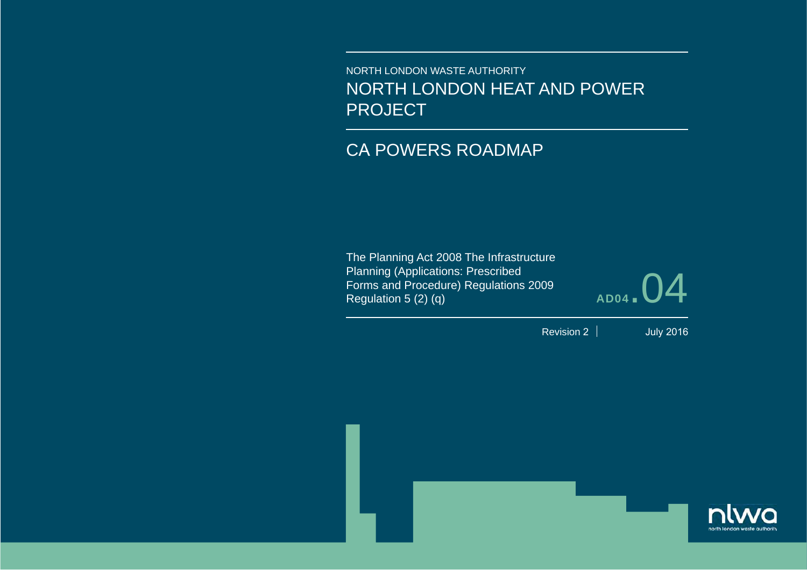NORTH LONDON WASTE AUTHORITYNORTH LONDON HEAT AND POWER PROJECT

# CA POWERS ROADMAP

The Planning Act 2008 The Infrastructure Planning (Applications: Prescribed Forms and Procedure) Regulations 2009 Regulation 5 (2) (q)

**AD04**.04

Revision 2

July 2016

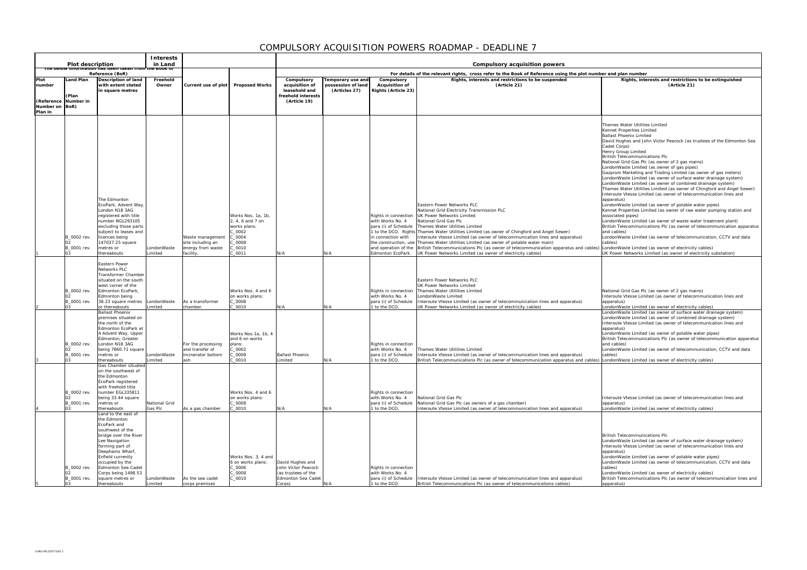**Rights, interests and restrictions to be extinguished (Article 21)** ames Water Utilities Limited Kennet Properties Limited Ballast Phoenix Limited avid Hughes and John Victor Peacock (as trustees of the Edmonton Sea det Corps) enry Group Limited British Telecommunications Plc National Grid Gas Plc (as owner of 2 gas mains) LondonWaste Limited (as owner of gas pipes) azprom Marketing and Trading Limited (as owner of gas meters) ndonWaste Limited (as owner of surface water drainage system) ndonWaste Limited (as owner of combined drainage system) Thames Water Utilities Limited (as owner of Chingford and Angel Sewer) Interoute Vtesse Limited (as owner of telecommunication lines and oparatus) ndonWaste Limited (as owner of potable water pipes) ennet Properties Limited (as owner of raw water pumping station and sociated pipes) ndonWaste Limited (as owner of waste water treatment plant) itish Telecommunications Plc (as owner of telecommunication apparatus d cables) ndonWaste Limited (as owner of telecommunication, CCTV and data bles) ondonWaste Limited (as owner of electricity cables) UK Power Networks Limited (as owner of electricity substation) ational Grid Gas Plc (as owner of 2 gas mains) teroute Vtesse Limited (as owner of telecommunication lines and paratus) ndonWaste Limited (as owner of electricity cables) ndonWaste Limited (as owner of surface water drainage system) LondonWaste Limited (as owner of combined drainage system) teroute Vtesse Limited (as owner of telecommunication lines and paratus) ndonWaste Limited (as owner of potable water pipes) itish Telecommunications Plc (as owner of telecommunication apparatus d cables) ndonWaste Limited (as owner of telecommunication, CCTV and data bles) ndonWaste Limited (as owner of electricity cables) teroute Vtesse Limited (as owner of telecommunication lines and apparatus) ndonWaste Limited (as owner of electricity cables) itish Telecommunications Plc ndonWaste Limited (as owner of surface water drainage system) teroute Vtesse Limited (as owner of telecommunication lines and paratus) ndonWaste Limited (as owner of potable water pipes) machinests anniver (as onner of potation nater pipes)<br>IndonWaste Limited (as owner of telecommunication, CCTV and data bles) ndonWaste Limited (as owner of electricity cables) itish Telecommunications Plc (as owner of telecommunication lines and paratus) and plan number

|                                                   | <b>Plot description</b>                      |                                                                                                                                                                                                                                                                                                | <b>Interests</b><br>in Land       |                                                                         |                                                                                                          | Compulsory acquisition powers                                                                         |                                                          |                                                                                                             |                                                                                                                                                                                                                                                                                                                                                                                                                                                                                                                                        |                                                                             |  |  |
|---------------------------------------------------|----------------------------------------------|------------------------------------------------------------------------------------------------------------------------------------------------------------------------------------------------------------------------------------------------------------------------------------------------|-----------------------------------|-------------------------------------------------------------------------|----------------------------------------------------------------------------------------------------------|-------------------------------------------------------------------------------------------------------|----------------------------------------------------------|-------------------------------------------------------------------------------------------------------------|----------------------------------------------------------------------------------------------------------------------------------------------------------------------------------------------------------------------------------------------------------------------------------------------------------------------------------------------------------------------------------------------------------------------------------------------------------------------------------------------------------------------------------------|-----------------------------------------------------------------------------|--|--|
| The below in                                      |                                              | Reference (BoR)                                                                                                                                                                                                                                                                                | <u>i taken irom the book of</u>   |                                                                         |                                                                                                          |                                                                                                       |                                                          |                                                                                                             | For details of the relevant rights, cross refer to the Book of Reference using the plot number a                                                                                                                                                                                                                                                                                                                                                                                                                                       |                                                                             |  |  |
| Plot<br>number                                    | Land Plan<br>(Plan                           | Description of land<br>with extent stated<br>in square metres                                                                                                                                                                                                                                  | Freehold<br>Owner                 | Current use of plot                                                     | <b>Proposed Works</b>                                                                                    | Compulsory<br>acquisition of<br>leasehold and<br>freehold interests                                   | Temporary use and<br>possession of land<br>(Articles 27) | Compulsory<br><b>Acquisition of</b><br><b>Rights (Article 23)</b>                                           | Rights, interests and restrictions to be suspended<br>(Article 21)                                                                                                                                                                                                                                                                                                                                                                                                                                                                     |                                                                             |  |  |
| (Reference Number in<br>Number on BoR)<br>Plan in |                                              |                                                                                                                                                                                                                                                                                                |                                   |                                                                         |                                                                                                          | (Article 19)                                                                                          |                                                          |                                                                                                             |                                                                                                                                                                                                                                                                                                                                                                                                                                                                                                                                        |                                                                             |  |  |
|                                                   |                                              |                                                                                                                                                                                                                                                                                                |                                   |                                                                         |                                                                                                          |                                                                                                       |                                                          |                                                                                                             |                                                                                                                                                                                                                                                                                                                                                                                                                                                                                                                                        | Tha<br>Ker<br>Bal<br>Da<br>Cao                                              |  |  |
|                                                   |                                              |                                                                                                                                                                                                                                                                                                |                                   |                                                                         |                                                                                                          |                                                                                                       |                                                          |                                                                                                             |                                                                                                                                                                                                                                                                                                                                                                                                                                                                                                                                        | Her<br><b>Brit</b><br>Nat<br>Lor<br>Ga:<br>Lor                              |  |  |
|                                                   |                                              | The Edmonton<br>EcoPark, Advent Way,<br>London N18 3AG                                                                                                                                                                                                                                         |                                   |                                                                         |                                                                                                          |                                                                                                       |                                                          |                                                                                                             | Eastern Power Networks PLC<br>National Grid Electricity Transmission PLC                                                                                                                                                                                                                                                                                                                                                                                                                                                               | Lor<br>Tha<br>Int<br>app<br>Lor<br>Ker                                      |  |  |
|                                                   | B_0002 rev.<br>02<br>B_0001 rev.<br>03       | registered with title<br>number NGL293105<br>excluding those parts<br>subject to leases and<br>licences being<br>147037.25 square<br>metres or<br>thereabouts                                                                                                                                  | LondonWaste<br>Limited            | Waste management<br>site including an<br>energy from waste<br>facility. | Works Nos. 1a, 1b,<br>2, 4, 6 and 7 on<br>works plans:<br>C_0002<br>C_0004<br>C_0008<br>C_0010<br>C_0011 | N/A                                                                                                   | N/A                                                      | Rights in connection<br>with Works No. 4<br>para (i) of Schedule<br>in connection with<br>Edmonton EcoPark. | UK Power Networks Limited<br>National Grid Gas Plc<br>Thames Water Utilities Limited<br>1 to the DCO. Rights Thames Water Utilities Limited (as owner of Chingford and Angel Sewer)<br>Interoute Vtesse Limited (as owner of telecommunication lines and apparatus)<br>the construction, use Thames Water Utilities Limited (as owner of potable water main)<br>and operation of the British Telecommunications Plc (as owner of telecommunication apparatus and cables)<br>UK Power Networks Limited (as owner of electricity cables) | ass<br>Lor<br>Brit<br>and<br>Lor<br>cab<br>Lor<br><b>UK</b>                 |  |  |
|                                                   | B_0002 rev.<br>02<br>B_0001 rev.<br>03       | Eastern Power<br>Networks PLC<br>Transformer Chamber<br>situated on the south<br>west corner of the<br>Edmonton EcoPark,<br>Edmonton being<br>38.23 square metres<br>or thereabouts                                                                                                            | LondonWaste<br>Limited            | As a transformer<br>chamber.                                            | Works Nos. 4 and 6<br>on works plans:<br>C 0008<br>C_0010                                                | N/A                                                                                                   | N/A                                                      | Rights in connection<br>with Works No. 4<br>para (i) of Schedule<br>1 to the DCO.                           | Eastern Power Networks PLC<br>UK Power Networks Limited<br>Thames Water Utilities Limited<br>LondonWaste Limited<br>Interoute Vtesse Limited (as owner of telecommunication lines and apparatus)<br>UK Power Networks Limited (as owner of electricity cables)                                                                                                                                                                                                                                                                         | Nat<br>Int<br>app<br>Lor                                                    |  |  |
|                                                   | B_0002 rev.<br>02<br>B_0001 rev.<br>03       | <b>Ballast Phoenix</b><br>premises situated on<br>the north of the<br>Edmonton EcoPark at<br>4 Advent Way, Upper<br>Edmonton, Greater<br>London N18 3AG<br>being 7860.71 square<br>metres or<br>thereabouts                                                                                    | LondonWaste<br>Limited            | For the processing<br>and transfer of<br>incinerator bottom<br>ash      | Works Nos.1a, 1b, 4<br>and 6 on works<br>plans:<br>C_0002<br>C_0008<br>C_0010                            | <b>Ballast Phoenix</b><br>imited                                                                      | N/A                                                      | Rights in connection<br>with Works No. 4<br>para (i) of Schedule<br>1 to the DCO.                           | Thames Water Utilities Limited<br>Interoute Vtesse Limited (as owner of telecommunication lines and apparatus)<br>British Telecommunications Plc (as owner of telecommunication apparatus and cables) [Lor                                                                                                                                                                                                                                                                                                                             | Lor<br>Lor<br>Int<br>app<br>Lor<br><b>Brit</b><br>and<br>Lor<br>cab         |  |  |
|                                                   | B_0002 rev.<br>02<br>B_0001 rev.             | Gas Chamber situated<br>on the southwest of<br>the Edmonton<br>EcoPark registered<br>with freehold title<br>number EGL335811<br>being 33.44 square<br>metres or                                                                                                                                | National Grid                     |                                                                         | Works Nos. 4 and 6<br>on works plans:<br>$C_0$ 0008                                                      |                                                                                                       |                                                          | Rights in connection<br>with Works No. 4<br>para (i) of Schedule                                            | National Grid Gas Plc<br>National Grid Gas Plc (as owners of a gas chamber)                                                                                                                                                                                                                                                                                                                                                                                                                                                            | Int<br>app                                                                  |  |  |
|                                                   | 03<br>B_0002 rev.<br>02<br>B_0001 rev.<br>03 | thereabouts<br>Land to the east of<br>the Edmonton<br>EcoPark and<br>southwest of the<br>bridge over the River<br>Lee Navigation<br>forming part of<br>Deephams Wharf,<br>Enfield currently<br>occupied by the<br>Edmonton Sea Cadet<br>Corps being 1498.53<br>square metres or<br>thereabouts | Gas Plc<br>LondonWaste<br>Limited | As a gas chamber<br>As the sea cadet<br>corps premises                  | $C_0$ 0010<br>Works Nos. 3, 4 and<br>6 on works plans:<br>C_0006<br>C_0008<br>$C_0$ 0010                 | N/A<br>David Hughes and<br>John Victor Peacock<br>(as trustees of the<br>Edmonton Sea Cadet<br>Corps) | N/A<br>N/A                                               | 1 to the DCO.<br>Rights in connection<br>with Works No. 4<br>para (i) of Schedule<br>1 to the DCO.          | Interoute Vtesse Limited (as owner of telecommunication lines and apparatus)<br>Interoute Vtesse Limited (as owner of telecommunication lines and apparatus)<br>British Telecommunications Plc (as owner of telecommunications cables)                                                                                                                                                                                                                                                                                                 | Lor<br> Bri<br>Lor<br>Int<br>app<br>Lor<br>Lor<br>cab<br>Lor<br>Brit<br>app |  |  |

## COMPULSORY ACQUISITION POWERS ROADMAP - DEADLINE 7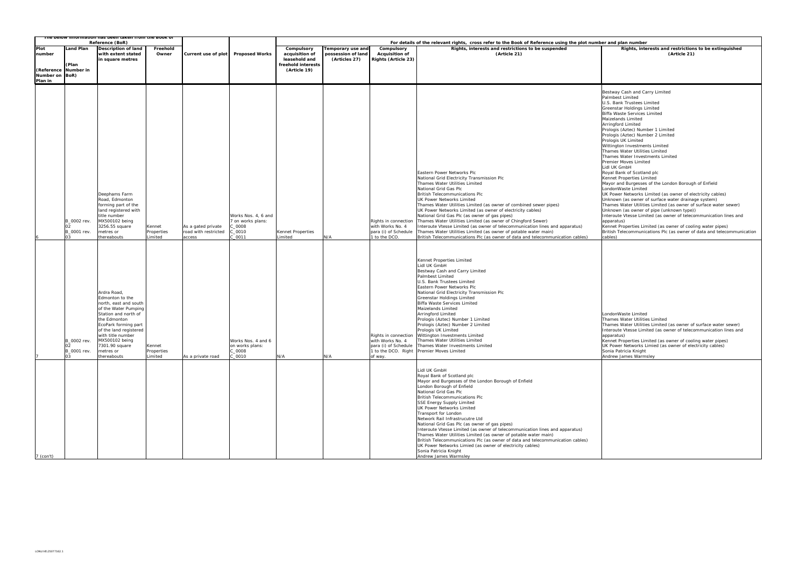### **<u>and pla</u>n number**

#### **Rights, interests and restrictions to be extinguished (Article 21)**

Bestway Cash and Carry Limited Palmbest Limited U.S. Bank Trustees Limited Greenstar Holdings Limited Biffa Waste Services Limited Maizelands Limited Arringford Limited Prologis (Aztec) Number 1 Limited Prologis (Aztec) Number 2 Limited ologis UK Limited ittington Investments Limited names Water Utilities Limited ames Water Investments Limited emier Moves Limited Lidl UK GmbH byal Bank of Scotland plc ennet Properties Limited Mayor and Burgesses of the London Borough of Enfield LondonWaste Limited wernmend emmen<br>K Power Networks Limited (as owner of electricity cables) hknown (as owner of surface water drainage system) ames Water Utilities Limited (as owner of surface water sewer) Unknown (as owner of pipe (unknown type)) Interoute Vtesse Limited (as owner of telecommunication lines and oparatus) <sub>P</sub>entities,<br>ennet Properties Limited (as owner of cooling water pipes) itish Telecommunications Plc (as owner of data and telecommunication bles)

|                           |                                        | The below information has been taken from the book of<br>Reference (BoR)                                                                                                                                                                                       |                                 |                                                      |                                                                                |                                               |                                                          |                                                                                   | For details of the relevant rights, cross refer to the Book of Reference using the plot number a                                                                                                                                                                                                                                                                                                                                                                                                                                                                                                                                                                                                                     |                                                                                                                                                                                                                            |
|---------------------------|----------------------------------------|----------------------------------------------------------------------------------------------------------------------------------------------------------------------------------------------------------------------------------------------------------------|---------------------------------|------------------------------------------------------|--------------------------------------------------------------------------------|-----------------------------------------------|----------------------------------------------------------|-----------------------------------------------------------------------------------|----------------------------------------------------------------------------------------------------------------------------------------------------------------------------------------------------------------------------------------------------------------------------------------------------------------------------------------------------------------------------------------------------------------------------------------------------------------------------------------------------------------------------------------------------------------------------------------------------------------------------------------------------------------------------------------------------------------------|----------------------------------------------------------------------------------------------------------------------------------------------------------------------------------------------------------------------------|
| Plot<br>number            | <b>Land Plan</b>                       | <b>Description of land</b><br>with extent stated<br>in square metres                                                                                                                                                                                           | Freehold<br>Owner               | Current use of plot                                  | <b>Proposed Works</b>                                                          | Compulsory<br>acquisition of<br>leasehold and | Temporary use and<br>possession of land<br>(Articles 27) | Compulsory<br><b>Acquisition of</b><br>Rights (Article 23)                        | Rights, interests and restrictions to be suspended<br>(Article 21)                                                                                                                                                                                                                                                                                                                                                                                                                                                                                                                                                                                                                                                   |                                                                                                                                                                                                                            |
| Number on BoR)<br>Plan in | (Plan<br>(Reference Number in          |                                                                                                                                                                                                                                                                |                                 |                                                      |                                                                                | freehold interests<br>(Article 19)            |                                                          |                                                                                   |                                                                                                                                                                                                                                                                                                                                                                                                                                                                                                                                                                                                                                                                                                                      |                                                                                                                                                                                                                            |
|                           | B 0002 rev.<br>02<br>B_0001 rev.<br>03 | Deephams Farm<br>Road, Edmonton<br>forming part of the<br>land registered with<br>title number<br>MX500102 being<br>3256.55 square<br>metres or<br>thereabouts                                                                                                 | Kennet<br>Properties<br>Limited | As a gated private<br>road with restricted<br>access | Works Nos. 4, 6 and<br>7 on works plans:<br>$C_0$ 0008<br>C_0010<br>$C_0$ 0011 | Kennet Properties<br>Limited                  | N/A                                                      | Rights in connection<br>with Works No. 4<br>para (i) of Schedule<br>1 to the DCO. | Eastern Power Networks Plc<br>National Grid Electricity Transmission Plc<br>Thames Water Utilities Limited<br>National Grid Gas Plc<br><b>British Telecommunications Plc</b><br><b>UK Power Networks Limited</b><br>Thames Water Utilities Limited (as owner of combined sewer pipes)<br>UK Power Networks Limited (as owner of electricity cables)<br>National Grid Gas Plc (as owner of gas pipes)<br>Thames Water Utilities Limited (as owner of Chingford Sewer)<br>Interoute Vtesse Limited (as owner of telecommunication lines and apparatus)<br>Thames Water Utilities Limited (as owner of potable water main)<br>British Telecommunications Plc (as owner of data and telecommunication cables)            | <b>Bes</b><br>Pal<br>U.S<br>Gr <sub>6</sub><br><b>Biff</b><br>Mai<br>Arr<br>Pro<br>Pro<br>Pro<br>Wit<br>Tha<br>Tha<br>Pre<br>Lid<br>Roy<br>Ker<br>Ma<br>Lor<br>UK<br>Unl<br>Tha<br>Unl<br>Int<br>app<br>Ker<br>Brit<br>cab |
|                           | B_0002 rev.<br>02<br>B 0001 rev.<br>03 | Ardra Road,<br>Edmonton to the<br>north, east and south<br>of the Water Pumping<br>Station and north of<br>the Edmonton<br>EcoPark forming part<br>of the land registered<br>with title number<br>MX500102 being<br>7301.90 square<br>metres or<br>thereabouts | Kennet<br>Properties<br>Limited | As a private road                                    | Works Nos. 4 and 6<br>on works plans:<br>C_0008<br>C_0010                      | N/A                                           | N/A                                                      | with Works No. 4<br>of way.                                                       | Kennet Properties Limited<br>Lidl UK GmbH<br>Bestway Cash and Carry Limited<br>Palmbest Limited<br>U.S. Bank Trustees Limited<br>Eastern Power Networks Plc<br>National Grid Electricity Transmission Plc<br>Greenstar Holdings Limited<br>Biffa Waste Services Limited<br>Maizelands Limited<br>Arringford Limited<br>Prologis (Aztec) Number 1 Limited<br>Prologis (Aztec) Number 2 Limited<br>Prologis UK Limited<br>Rights in connection Wittington Investments Limited<br>Thames Water Utilities Limited<br>para (i) of Schedule   Thames Water Investments Limited<br>1 to the DCO. Right Premier Moves Limited                                                                                                | Tha<br>Tha<br>Int<br>app<br>Ker<br>UK<br>Sor<br>And                                                                                                                                                                        |
| $7$ (con't)               |                                        |                                                                                                                                                                                                                                                                |                                 |                                                      |                                                                                |                                               |                                                          |                                                                                   | Lidl UK GmbH<br>Royal Bank of Scotland plc<br>Mayor and Burgesses of the London Borough of Enfield<br>London Borough of Enfield<br>National Grid Gas Plc<br>British Telecommunications Plc<br>SSE Energy Supply Limited<br>UK Power Networks Limited<br>Transport for London<br>Network Rail Infrastrucutre Ltd<br>National Grid Gas Plc (as owner of gas pipes)<br>Interoute Vtesse Limited (as owner of telecommunication lines and apparatus)<br>Thames Water Utilities Limited (as owner of potable water main)<br>British Telecommunications Plc (as owner of data and telecommunication cables)<br>UK Power Networks Limied (as owner of electricity cables)<br>Sonia Patricia Knight<br>Andrew James Warmsley |                                                                                                                                                                                                                            |

LondonWaste Limited ames Water Utilities Limited ames Water Utilities Limited (as owner of surface water sewer) teroute Vtesse Limited (as owner of telecommunication lines and apparatus) Kennet Properties Limited (as owner of cooling water pipes)

UNIVERSITY PROTOCOLLER COMPUTER STATES (SPING) IN THE PIPPER CONVERT OF EXAMPLE CONVERT (SPING) onia Patricia Knight ndrew James Warmsley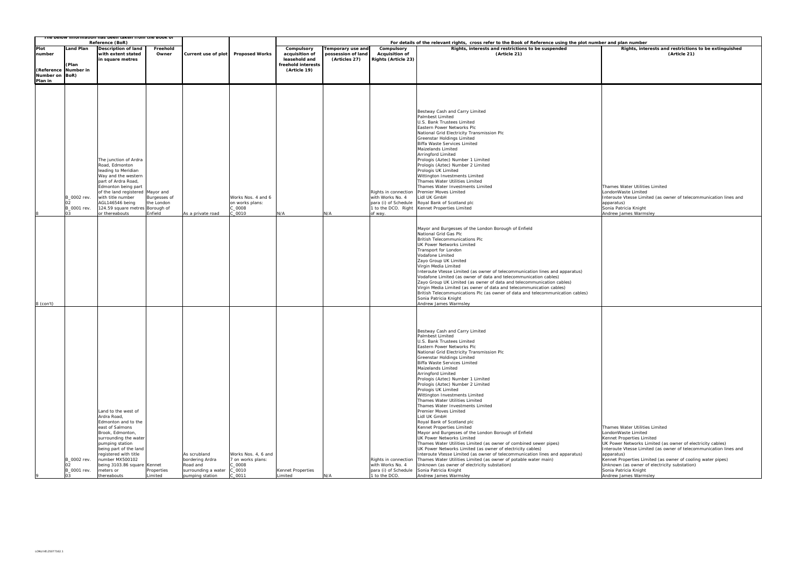### **For details and plan number**

**Rights, interests and restrictions to be extinguished (Article 21)**

Thames Water Utilities Limited LondonWaste Limited Interoute Vtesse Limited (as owner of telecommunication lines and apparatus) Sonia Patricia Knight Andrew James Warmsley

|                           | The below information has been taken from the book of<br>Reference (BoR) |                                                                                                                                                                                                                                                                               |                                       |                                                                                       |                                                                            |                                                                                     | For details of the relevant rights, cross refer to the Book of Reference using the plot number |                                                            |                                                                                                                                                                                                                                                                                                                                                                                                                                                                                                                                                                                                                                                                                                                                                                                                                                                                                                                                                                                                                                                                                                                                                                                                                                                                                                         |                                                           |  |  |
|---------------------------|--------------------------------------------------------------------------|-------------------------------------------------------------------------------------------------------------------------------------------------------------------------------------------------------------------------------------------------------------------------------|---------------------------------------|---------------------------------------------------------------------------------------|----------------------------------------------------------------------------|-------------------------------------------------------------------------------------|------------------------------------------------------------------------------------------------|------------------------------------------------------------|---------------------------------------------------------------------------------------------------------------------------------------------------------------------------------------------------------------------------------------------------------------------------------------------------------------------------------------------------------------------------------------------------------------------------------------------------------------------------------------------------------------------------------------------------------------------------------------------------------------------------------------------------------------------------------------------------------------------------------------------------------------------------------------------------------------------------------------------------------------------------------------------------------------------------------------------------------------------------------------------------------------------------------------------------------------------------------------------------------------------------------------------------------------------------------------------------------------------------------------------------------------------------------------------------------|-----------------------------------------------------------|--|--|
| Plot<br>number            | Land Plan<br>(Plan<br>(Reference Number in                               | Description of land<br>with extent stated<br>in square metres                                                                                                                                                                                                                 | Freehold<br>Owner                     | Current use of plot                                                                   | <b>Proposed Works</b>                                                      | Compulsory<br>acquisition of<br>leasehold and<br>freehold interests<br>(Article 19) | Temporary use and<br>possession of land<br>(Articles 27)                                       | Compulsory<br><b>Acquisition of</b><br>Rights (Article 23) | Rights, interests and restrictions to be suspended<br>(Article 21)                                                                                                                                                                                                                                                                                                                                                                                                                                                                                                                                                                                                                                                                                                                                                                                                                                                                                                                                                                                                                                                                                                                                                                                                                                      |                                                           |  |  |
| Number on BoR)<br>Plan in | B 0002 rev.<br>B_0001 rev.<br>03                                         | The junction of Ardra<br>Road, Edmonton<br>leading to Meridian<br>Way and the western<br>part of Ardra Road,<br>Edmonton being part<br>of the land registered Mayor and<br>with title number<br>AGL146546 being<br>124.59 square metres Borough of<br>or thereabouts          | Burgesses of<br>the London<br>Enfield | As a private road                                                                     | Works Nos. 4 and 6<br>on works plans:<br>C_0008<br>C 0010                  | N/A                                                                                 | N/A                                                                                            | Rights in connection<br>with Works No. 4<br>of way.        | Bestway Cash and Carry Limited<br>Palmbest Limited<br>U.S. Bank Trustees Limited<br>Eastern Power Networks Plc<br>National Grid Electricity Transmission Plc<br>Greenstar Holdings Limited<br>Biffa Waste Services Limited<br>Maizelands Limited<br>Arringford Limited<br>Prologis (Aztec) Number 1 Limited<br>Prologis (Aztec) Number 2 Limited<br>Prologis UK Limited<br>Wittington Investments Limited<br>Thames Water Utilities Limited<br>Thames Water Investments Limited<br><b>Premier Moves Limited</b><br>Lidl UK GmbH<br>para (i) of Schedule Royal Bank of Scotland plc<br>1 to the DCO. Right Kennet Properties Limited<br>Mayor and Burgesses of the London Borough of Enfield<br>National Grid Gas Plc<br><b>British Telecommunications Plc</b><br>UK Power Networks Limited<br>Transport for London<br>Vodafone Limited<br>Zayo Group UK Limited<br>Virgin Media Limited<br>Interoute Vtesse Limited (as owner of telecommunication lines and apparatus)<br>Vodafone Limited (as owner of data and telecommunication cables)<br>Zayo Group UK Limited (as owner of data and telecommunication cables)<br>Virgin Media Limited (as owner of data and telecommunication cables)<br>British Telecommunications Plc (as owner of data and telecommunication cables)<br>Sonia Patricia Knight | Int<br>ap<br>So<br>An                                     |  |  |
| $8$ (con't)               | B_0002 rev.<br>B_0001 rev.<br>03                                         | Land to the west of<br>Ardra Road,<br>Edmonton and to the<br>east of Salmons<br>Brook, Edmonton,<br>surrounding the water<br>pumping station<br>being part of the land<br>registered with title<br>number MX500102<br>being 3103.86 square Kennet<br>meters or<br>thereabouts | Properties<br>Limited                 | As scrubland<br>bordering Ardra<br>Road and<br>surrounding a water<br>pumping station | Works Nos. 4, 6 and<br>7 on works plans:<br>C_0008<br>C_0010<br>$C_0$ 0011 | Kennet Properties<br>Limited                                                        | N/A                                                                                            | Rights in connection<br>with Works No. 4<br>1 to the DCO.  | Andrew James Warmsley<br>Bestway Cash and Carry Limited<br>Palmbest Limited<br>U.S. Bank Trustees Limited<br>Eastern Power Networks Plc<br>National Grid Electricity Transmission Plc<br>Greenstar Holdings Limited<br>Biffa Waste Services Limited<br>Maizelands Limited<br>Arringford Limited<br>Prologis (Aztec) Number 1 Limited<br>Prologis (Aztec) Number 2 Limited<br>Prologis UK Limited<br>Wittington Investments Limited<br>Thames Water Utilities Limited<br>Thames Water Investments Limited<br>Premier Moves Limited<br>Lidl UK GmbH<br>Royal Bank of Scotland plc<br>Kennet Properties Limited<br>Mayor and Burgesses of the London Borough of Enfield<br>UK Power Networks Limited<br>Thames Water Utilities Limited (as owner of combined sewer pipes)<br>UK Power Networks Limited (as owner of electricity cables)<br>Interoute Vtesse Limited (as owner of telecommunication lines and apparatus)<br>Thames Water Utilities Limited (as owner of potable water main)<br>Unknown (as owner of electricity substation)<br>para (i) of Schedule Sonia Patricia Knight<br>Andrew James Warmsley                                                                                                                                                                                          | Th<br>Lo<br>Ke<br>UK<br>Int<br>ap<br>Ke<br>Un<br>So<br>An |  |  |

Thames Water Utilities Limited LondonWaste Limited Kennet Properties Limited UK Power Networks Limited (as owner of electricity cables) Interoute Vtesse Limited (as owner of telecommunication lines and apparatus) Kennet Properties Limited (as owner of cooling water pipes) Unknown (as owner of electricity substation) Sonia Patricia Knight Andrew James Warmsley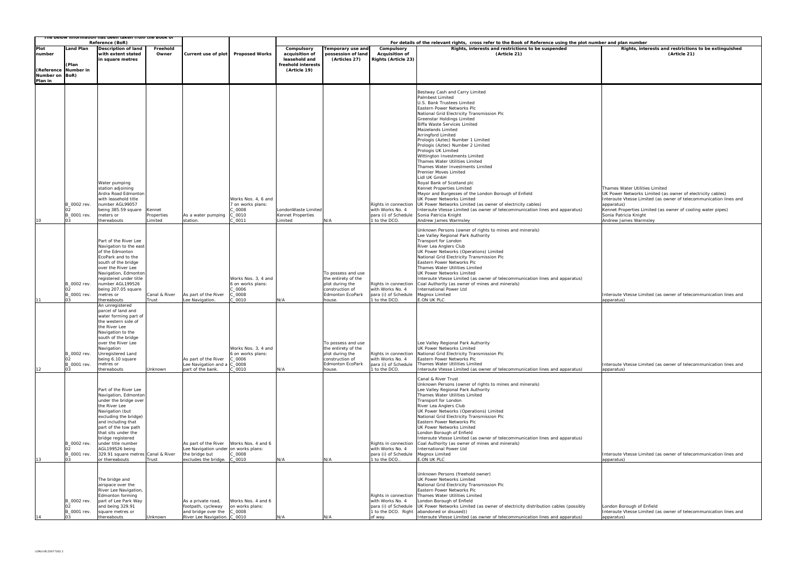|                                             |                                              | The below information has been taken from the Book of<br>Reference (BoR)                                                                                                                                                                                                                                                       |                                 |                                                                                                        |                                                                            | For details of the relevant rights, cross refer to the Book of Reference using the plot number and plan number |                                                                                                                      |                                                                                                    |                                                                                                                                                                                                                                                                                                                                                                                                                                                                                                                                                                                                                                                                                                                                                                                                                                                                          |                                                                                                                                                           |  |  |
|---------------------------------------------|----------------------------------------------|--------------------------------------------------------------------------------------------------------------------------------------------------------------------------------------------------------------------------------------------------------------------------------------------------------------------------------|---------------------------------|--------------------------------------------------------------------------------------------------------|----------------------------------------------------------------------------|----------------------------------------------------------------------------------------------------------------|----------------------------------------------------------------------------------------------------------------------|----------------------------------------------------------------------------------------------------|--------------------------------------------------------------------------------------------------------------------------------------------------------------------------------------------------------------------------------------------------------------------------------------------------------------------------------------------------------------------------------------------------------------------------------------------------------------------------------------------------------------------------------------------------------------------------------------------------------------------------------------------------------------------------------------------------------------------------------------------------------------------------------------------------------------------------------------------------------------------------|-----------------------------------------------------------------------------------------------------------------------------------------------------------|--|--|
| Plot<br>number<br>Number on BoR)<br>Plan in | Land Plan<br>(Plan<br>(Reference Number in   | <b>Description of land</b><br>with extent stated<br>in square metres                                                                                                                                                                                                                                                           | Freehold<br>Owner               | Current use of plot                                                                                    | <b>Proposed Works</b>                                                      | Compulsory<br>acquisition of<br>leasehold and<br>freehold interests<br>(Article 19)                            | <b>Temporary use and</b><br>possession of land<br>(Articles 27)                                                      | Compulsory<br><b>Acquisition of</b><br>Rights (Article 23)                                         | Rights, interests and restrictions to be suspended<br>(Article 21)                                                                                                                                                                                                                                                                                                                                                                                                                                                                                                                                                                                                                                                                                                                                                                                                       | Rights, inte                                                                                                                                              |  |  |
| 10                                          | B_0002 rev.<br>B_0001 rev.<br>03             | Water pumping<br>station adjoining<br>Ardra Road Edmonton<br>with leasehold title<br>number AGL99057<br>being 385.59 square<br>meters or<br>thereabouts                                                                                                                                                                        | Kennet<br>Properties<br>Limited | As a water pumping<br>station.                                                                         | Works Nos. 4, 6 and<br>7 on works plans:<br>$C_0$ 0008<br>C_0010<br>C 0011 | LondonWaste Limited<br>Kennet Properties<br>Limited                                                            | N/A                                                                                                                  | Rights in connection<br>with Works No. 4<br>para (i) of Schedule<br>1 to the DCO.                  | Bestway Cash and Carry Limited<br>Palmbest Limited<br>U.S. Bank Trustees Limited<br>Eastern Power Networks Plc<br>National Grid Electricity Transmission Plc<br>Greenstar Holdings Limited<br>Biffa Waste Services Limited<br>Maizelands Limited<br>Arringford Limited<br>Prologis (Aztec) Number 1 Limited<br>Prologis (Aztec) Number 2 Limited<br>Prologis UK Limited<br>Wittington Investments Limited<br>Thames Water Utilities Limited<br>Thames Water Investments Limited<br>Premier Moves Limited<br>Lidl UK GmbH<br>Royal Bank of Scotland plc<br>Kennet Properties Limited<br>Mayor and Burgesses of the London Borough of Enfield<br>UK Power Networks Limited<br>UK Power Networks Limited (as owner of electricity cables)<br>Interoute Vtesse Limited (as owner of telecommunication lines and apparatus)<br>Sonia Patricia Knight<br>Andrew James Warmsley | Thames Water Utilitie<br>UK Power Networks L<br>Interoute Vtesse Lim<br>apparatus)<br>Kennet Properties Lir<br>Sonia Patricia Knight<br>Andrew James Warm |  |  |
| 11                                          | B_0002 rev.<br>B_0001 rev.<br>0 <sub>3</sub> | Part of the River Lee<br>Navigation to the east<br>of the Edmonton<br>EcoPark and to the<br>south of the bridge<br>over the River Lee<br>Navigation, Edmonton<br>registered under title<br>number AGL199526<br>being 207.05 square<br>metres or<br>thereabouts                                                                 | Canal & River<br>Trust          | As part of the River<br>Lee Navigation.                                                                | Works Nos. 3, 4 and<br>6 on works plans:<br>C 0006<br>$C_0008$<br>C 0010   | N/A                                                                                                            | To possess and use<br>the entirety of the<br>plot during the<br>construction of<br><b>Edmonton EcoPark</b><br>house. | Rights in connection<br>with Works No. 4<br>para (i) of Schedule<br>1 to the DCO.                  | Unknown Persons (owner of rights to mines and minerals)<br>Lee Valley Regional Park Authority<br>Transport for London<br>River Lea Anglers Club<br>UK Power Networks (Operations) Limited<br>National Grid Electricity Transmission Plc<br>Eastern Power Networks Plc<br>Thames Water Utilities Limited<br>UK Power Networks Limited<br>Interoute Vtesse Limited (as owner of telecommunication lines and apparatus)<br>Coal Authority (as owner of mines and minerals)<br>International Power Ltd<br>Magnox Limited<br>E.ON UK PLC                                                                                                                                                                                                                                                                                                                                      | Interoute Vtesse Lim<br>apparatus)                                                                                                                        |  |  |
| 12                                          | B_0002 rev.<br>B_0001 rev.<br>03             | An unregistered<br>parcel of land and<br>water forming part of<br>the western side of<br>the River Lee<br>Navigation to the<br>south of the bridge<br>over the River Lee<br>Navigation<br>Unregistered Land<br>being 6.10 square<br>metres or<br>thereabouts                                                                   | Unknown                         | As part of the River<br>Lee Navigation and a<br>part of the bank.                                      | Works Nos. 3, 4 and<br>6 on works plans:<br>C_0006<br>C_0008<br>$C_0$ 0010 | N/A                                                                                                            | To possess and use<br>the entirety of the<br>plot during the<br>construction of<br><b>Edmonton EcoPark</b><br>house. | Rights in connection<br>with Works No. 4<br>para (i) of Schedule<br>1 to the DCO.                  | Lee Valley Regional Park Authority<br>UK Power Networks Limited<br>National Grid Electricity Transmission Plc<br>Eastern Power Networks Plc<br>Thames Water Utilities Limited<br>Interoute Vtesse Limited (as owner of telecommunication lines and apparatus)                                                                                                                                                                                                                                                                                                                                                                                                                                                                                                                                                                                                            | Interoute Vtesse Lim<br>apparatus)                                                                                                                        |  |  |
| 13                                          | B 0002 rev.<br>B 0001 rev.<br>03.            | Part of the River Lee<br>Navigation, Edmonton<br>under the bridge over<br>the River Lee<br>Navigation (but<br>excluding the bridge)<br>and including that<br>part of the tow path<br>that sits under the<br>bridge registered<br>under title number<br>AGL199526 being<br>329.91 square metres Canal & River<br>or thereabouts | Trust                           | As part of the River<br>Lee Navigation under on works plans:<br>the bridge but<br>excludes the bridge. | Works Nos. 4 and 6<br>$C_0008$<br>$C_0$ 0010                               | N/A                                                                                                            | N/A                                                                                                                  | Rights in connection<br>with Works No. 4<br>para (i) of Schedule<br>1 to the DCO.                  | Canal & River Trust<br>Unknown Persons (owner of rights to mines and minerals)<br>Lee Valley Regional Park Authority<br>Thames Water Utilities Limited<br>Transport for London<br>River Lea Anglers Club<br>UK Power Networks (Operations) Limited<br>National Grid Electricity Transmission Plc<br>Eastern Power Networks Plc<br>UK Power Networks Limited<br>London Borough of Enfield<br>Interoute Vtesse Limited (as owner of telecommunication lines and apparatus)<br>Coal Authority (as owner of mines and minerals)<br>International Power Ltd<br>Magnox Limited<br>E.ON UK PLC                                                                                                                                                                                                                                                                                  | Interoute Vtesse Lim<br>apparatus)                                                                                                                        |  |  |
| 14                                          | B_0002 rev.<br>02<br>B_0001 rev.             | The bridge and<br>airspace over the<br>River Lee Navigation,<br><b>Edmonton forming</b><br>part of Lee Park Way<br>and being 329.91<br>square metres or<br>thereabouts                                                                                                                                                         | Unknown                         | As a private road,<br>footpath, cycleway<br>and bridge over the<br>River Lee Navigation. C_0010        | Works Nos. 4 and 6<br>on works plans:<br>C_0008                            | N/A                                                                                                            | N/A                                                                                                                  | Rights in connection<br>with Works No. 4<br>para (i) of Schedule<br>1 to the DCO. Right<br>of way. | Unknown Persons (freehold owner)<br>UK Power Networks Limited<br>National Grid Electricity Transmission Plc<br>Eastern Power Networks Plc<br>Thames Water Utilities Limited<br>London Borough of Enfield<br>UK Power Networks Limited (as owner of electricity distribution cables (possibly<br>abandoned or disused))<br>Interoute Vtesse Limited (as owner of telecommunication lines and apparatus)                                                                                                                                                                                                                                                                                                                                                                                                                                                                   | London Borough of E<br>Interoute Vtesse Lim<br>apparatus)                                                                                                 |  |  |

| er and plan number                                                                                                              |
|---------------------------------------------------------------------------------------------------------------------------------|
| Rights, interests and restrictions to be extinguished                                                                           |
| (Article 21)                                                                                                                    |
|                                                                                                                                 |
|                                                                                                                                 |
|                                                                                                                                 |
|                                                                                                                                 |
|                                                                                                                                 |
|                                                                                                                                 |
|                                                                                                                                 |
|                                                                                                                                 |
|                                                                                                                                 |
|                                                                                                                                 |
|                                                                                                                                 |
|                                                                                                                                 |
|                                                                                                                                 |
|                                                                                                                                 |
|                                                                                                                                 |
|                                                                                                                                 |
|                                                                                                                                 |
|                                                                                                                                 |
| Thames Water Utilities Limited                                                                                                  |
| UK Power Networks Limited (as owner of electricity cables)<br>Interoute Vtesse Limited (as owner of telecommunication lines and |
| apparatus)                                                                                                                      |
| Kennet Properties Limited (as owner of cooling water pipes)                                                                     |
| Sonia Patricia Knight<br>Andrew James Warmsley                                                                                  |
|                                                                                                                                 |
|                                                                                                                                 |
|                                                                                                                                 |
|                                                                                                                                 |
|                                                                                                                                 |
|                                                                                                                                 |
|                                                                                                                                 |
|                                                                                                                                 |
|                                                                                                                                 |
|                                                                                                                                 |
| Interoute Vtesse Limited (as owner of telecommunication lines and                                                               |
| apparatus)                                                                                                                      |
|                                                                                                                                 |
|                                                                                                                                 |
|                                                                                                                                 |
|                                                                                                                                 |
|                                                                                                                                 |
|                                                                                                                                 |
|                                                                                                                                 |
|                                                                                                                                 |
| Interoute Vtesse Limited (as owner of telecommunication lines and                                                               |
| apparatus)                                                                                                                      |
|                                                                                                                                 |
|                                                                                                                                 |
|                                                                                                                                 |
|                                                                                                                                 |
|                                                                                                                                 |
|                                                                                                                                 |
|                                                                                                                                 |
|                                                                                                                                 |
|                                                                                                                                 |
|                                                                                                                                 |
|                                                                                                                                 |
| Interoute Vtesse Limited (as owner of telecommunication lines and<br>apparatus)                                                 |
|                                                                                                                                 |
|                                                                                                                                 |
|                                                                                                                                 |
|                                                                                                                                 |
|                                                                                                                                 |
|                                                                                                                                 |
| London Borough of Enfield                                                                                                       |
| Interoute Vtesse Limited (as owner of telecommunication lines and<br>apparatus)                                                 |
|                                                                                                                                 |
|                                                                                                                                 |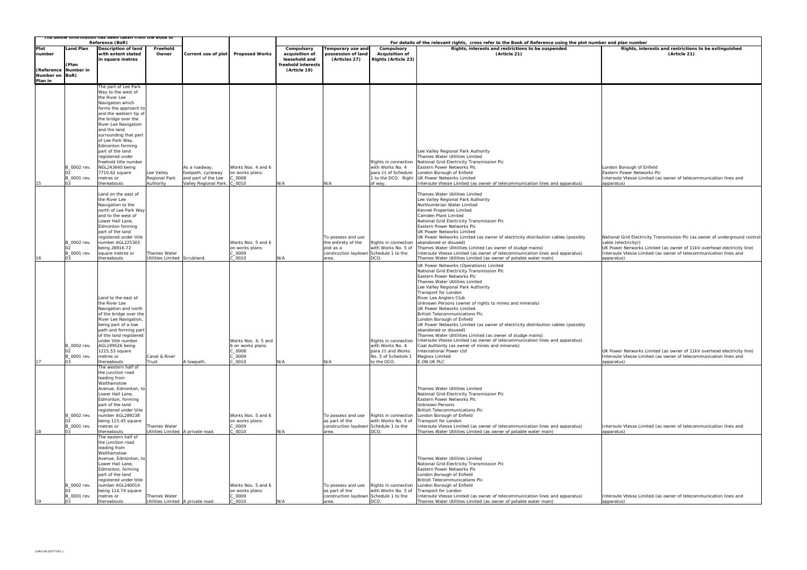|                                         |                                              | The below information has been taken from the book of<br>Reference (BoR)                                                                                                                                                                                                         |                                                     |                                                                                     |                                                                        |                                                                     | For details of the relevant rights, cross refer to the Book of Reference using the plot number and plan number |                                                                                                      |                                                                                                                                                                                                                                                                                                                                                                                                                                                                                                                                                                                                                                                                                                                                                                                |                                                                                                             |  |  |  |
|-----------------------------------------|----------------------------------------------|----------------------------------------------------------------------------------------------------------------------------------------------------------------------------------------------------------------------------------------------------------------------------------|-----------------------------------------------------|-------------------------------------------------------------------------------------|------------------------------------------------------------------------|---------------------------------------------------------------------|----------------------------------------------------------------------------------------------------------------|------------------------------------------------------------------------------------------------------|--------------------------------------------------------------------------------------------------------------------------------------------------------------------------------------------------------------------------------------------------------------------------------------------------------------------------------------------------------------------------------------------------------------------------------------------------------------------------------------------------------------------------------------------------------------------------------------------------------------------------------------------------------------------------------------------------------------------------------------------------------------------------------|-------------------------------------------------------------------------------------------------------------|--|--|--|
| Plot<br>number                          | and Plan<br>(Plan                            | Description of land<br>with extent stated<br>n square metres                                                                                                                                                                                                                     | Freehold<br>Owner                                   | Current use of plot                                                                 | <b>Proposed Works</b>                                                  | Compulsory<br>acquisition of<br>leasehold and<br>freehold interests | Temporary use and<br>possession of land<br>(Articles 27)                                                       | Compulsory<br><b>Acquisition of</b><br><b>Rights (Article 23)</b>                                    | Rights, interests and restrictions to be suspended<br>(Article 21)                                                                                                                                                                                                                                                                                                                                                                                                                                                                                                                                                                                                                                                                                                             | Rights, inte                                                                                                |  |  |  |
| (Reference<br>Number on BoR)<br>Plan in | Number in                                    |                                                                                                                                                                                                                                                                                  |                                                     |                                                                                     |                                                                        | (Article 19)                                                        |                                                                                                                |                                                                                                      |                                                                                                                                                                                                                                                                                                                                                                                                                                                                                                                                                                                                                                                                                                                                                                                |                                                                                                             |  |  |  |
|                                         |                                              | The part of Lee Park                                                                                                                                                                                                                                                             |                                                     |                                                                                     |                                                                        |                                                                     |                                                                                                                |                                                                                                      |                                                                                                                                                                                                                                                                                                                                                                                                                                                                                                                                                                                                                                                                                                                                                                                |                                                                                                             |  |  |  |
|                                         |                                              | Way to the west of<br>the River Lee<br>Navigation which<br>forms the approach to<br>and the western tip of<br>the bridge over the<br>River Lee Navigation<br>and the land<br>surrounding that part<br>of Lee Park Way,                                                           |                                                     |                                                                                     |                                                                        |                                                                     |                                                                                                                |                                                                                                      |                                                                                                                                                                                                                                                                                                                                                                                                                                                                                                                                                                                                                                                                                                                                                                                |                                                                                                             |  |  |  |
| 15                                      | B_0002 rev.<br>B_0001 rev.<br>03             | <b>Edmonton forming</b><br>part of the land<br>registered under<br>freehold title number<br>NGL243640 being<br>7710.62 square<br>metres or<br>thereabouts                                                                                                                        | Lee Valley<br>Regional Park<br>Authority            | As a roadway,<br>footpath, cycleway<br>and part of the Lee<br>Valley Regional Park. | Works Nos. 4 and 6<br>on works plans:<br>2_0008<br>C_0010              | N/A                                                                 | N/A                                                                                                            | Rights in connection<br>with Works No. 4<br>para (i) of Schedule<br>1 to the DCO. Right<br>of way.   | Lee Valley Regional Park Authority<br>Thames Water Utilities Limited<br>National Grid Electricity Transmission Plc<br>Eastern Power Networks Plc<br>London Borough of Enfield<br><b>UK Power Networks Limited</b><br>Interoute Vtesse Limited (as owner of telecommunication lines and apparatus)                                                                                                                                                                                                                                                                                                                                                                                                                                                                              | London Borough of E<br>Eastern Power Netwo<br>Interoute Vtesse Lim<br>apparatus)                            |  |  |  |
| 16                                      | B_0002 rev.<br>B_0001 rev.<br>03             | Land on the east of<br>the River Lee<br>Navigation to the<br>north of Lee Park Way<br>and to the west of<br>Lower Hall Lane,<br>Edmonton forming<br>part of the land<br>registered under title<br>number AGL225303<br>being 28916.72<br>square metres or<br>thereabouts          | <b>Thames Water</b><br>Utilities Limited Scrubland. |                                                                                     | Works Nos. 5 and 6<br>on works plans:<br>C_0009<br>C 0010              | N/A                                                                 | To possess and use<br>the entirety of the<br>plot as a<br>construction laydown Schedule 1 to the<br>area.      | Rights in connection<br>with Works No. 5 of<br>DCO.                                                  | Thames Water Utilities Limited<br>Lee Valley Regional Park Authority<br>Northumbrian Water Limited<br>Kennet Properties Limited<br>Camden Plant Limited<br>National Grid Electricity Transmission Plc<br>Eastern Power Networks Plc<br>UK Power Networks Limited<br>UK Power Networks Limited (as owner of electricity distribution cables (possibly<br>abandoned or disused)<br>Thames Water Ulitilities Limited (as owner of sludge mains)<br>Interoute Vtesse Limited (as owner of telecommunication lines and apparatus)<br>Thames Water Utilities Limited (as owner of potable water main)                                                                                                                                                                                | National Grid Electric<br>cable (electricity))<br>UK Power Nerworks I<br>Interoute Vtesse Lim<br>apparatus) |  |  |  |
| 17                                      | B_0002 rev.<br>B_0001 rev.<br>03             | Land to the east of<br>the River Lee<br>Navigation and north<br>of the bridge over the<br>River Lee Navigation,<br>being part of a tow<br>path and forming part<br>of the land registered<br>under title number<br>AGL199526 being<br>1215.53 square<br>metres or<br>thereabouts | Canal & River<br>Trust                              | A towpath.                                                                          | Works Nos. 4, 5 and<br>6 on works plans:<br>C_0008<br>C_0009<br>C_0010 | N/A                                                                 | N/A                                                                                                            | Rights in connection<br>with Works No. 4<br>para (i) and Works<br>No. 5 of Schedule 1<br>to the DCO. | UK Power Networks (Operations) Limited<br>National Grid Electricity Transmission Plc<br>Eastern Power Networks Plc<br>Thames Water Utilities Limited<br>Lee Valley Regional Park Authority<br>Transport for London<br>River Lea Anglers Club<br>Unknown Persons (owner of rights to mines and minerals)<br>UK Power Networks Limited<br>British Telecommunications Plc<br>London Borough of Enfield<br>UK Power Networks Limited (as owner of electricity distribution cables (possibly<br>abandoned or disused)<br>Thames Water Ulitilities Limited (as owner of sludge mains)<br>Interoute Vtesse Limited (as owner of telecommunication lines and apparatus)<br>Coal Authority (as owner of mines and minerals)<br>International Power Ltd<br>Magnox Limited<br>E.ON UK PLC | UK Power Nerworks L<br>Interoute Vtesse Lim<br>apparatus)                                                   |  |  |  |
| 18                                      | B_0002 rev.<br>B_0001 rev.<br>O <sub>3</sub> | The western half of<br>the junction road<br>leading from<br>Walthamstow<br>Avenue, Edmonton, to<br>Lower Hall Lane,<br>Edmonton, forming<br>part of the land<br>registered under title<br>number AGL289238<br>being 115.45 square<br>metres or<br>thereabouts                    | Thames Water                                        | Utilities Limited   A private road.                                                 | Works Nos. 5 and 6<br>on works plans:<br>$C_0009$<br>$C_0$ 0010        | N/A                                                                 | To possess and use<br>as part of the<br>construction laydown Schedule 1 to the<br>area.                        | Rights in connection<br>with Works No. 5 of<br>DCO.                                                  | Thames Water Utilities Limited<br>National Grid Electricity Transmission Plc<br>Eastern Power Networks Plc<br>Unknown Persons<br>British Telecommunications Plc<br>London Borough of Enfield<br>Transport for London<br>Interoute Vtesse Limited (as owner of telecommunication lines and apparatus)<br>Thames Water Utilities Limited (as owner of potable water main)                                                                                                                                                                                                                                                                                                                                                                                                        | Interoute Vtesse Limi<br>apparatus)                                                                         |  |  |  |
| 19                                      | B_0002 rev.<br>B_0001 rev.<br>03             | The eastern half of<br>the junction road<br>leading from<br>Walthamstow<br>Avenue, Edmonton, to<br>Lower Hall Lane,<br>Edmonton, forming<br>part of the land<br>registered under title<br>number AGL240014<br>being 114.74 square<br>metres or<br>thereabouts                    | Thames Water<br>Utilities Limited   A private road. |                                                                                     | Works Nos. 5 and 6<br>on works plans:<br>C_0009<br>$C_0$ 0010          | N/A                                                                 | To possess and use<br>as part of the<br>construction laydown Schedule 1 to the<br>area.                        | Rights in connection<br>with Works No. 5 of<br>DCO.                                                  | Thames Water Utilities Limited<br>National Grid Electricity Transmission Plc<br>Eastern Power Networks Plc<br>London Borough of Enfield<br>British Telecommunications Plc<br>London Borough of Enfield<br>Transport for London<br>Interoute Vtesse Limited (as owner of telecommunication lines and apparatus)<br>Thames Water Utilities Limited (as owner of potable water main)                                                                                                                                                                                                                                                                                                                                                                                              | Interoute Vtesse Lim<br>apparatus)                                                                          |  |  |  |

| er and plan number                                                                                                                          |
|---------------------------------------------------------------------------------------------------------------------------------------------|
| Rights, interests and restrictions to be extinguished<br>(Article 21)                                                                       |
|                                                                                                                                             |
|                                                                                                                                             |
|                                                                                                                                             |
|                                                                                                                                             |
|                                                                                                                                             |
|                                                                                                                                             |
|                                                                                                                                             |
|                                                                                                                                             |
|                                                                                                                                             |
|                                                                                                                                             |
|                                                                                                                                             |
|                                                                                                                                             |
| London Borough of Enfield                                                                                                                   |
| Eastern Power Networks Plc                                                                                                                  |
| Interoute Vtesse Limited (as owner of telecommunication lines and<br>apparatus)                                                             |
|                                                                                                                                             |
|                                                                                                                                             |
|                                                                                                                                             |
|                                                                                                                                             |
|                                                                                                                                             |
|                                                                                                                                             |
| National Grid Electricity Transmission Plc (as owner of underground control<br>cable (electricity))                                         |
| UK Power Nerworks Limited (as owner of 11kV overhead electricity line)<br>Interoute Vtesse Limited (as owner of telecommunication lines and |
| apparatus)                                                                                                                                  |
|                                                                                                                                             |
|                                                                                                                                             |
|                                                                                                                                             |
|                                                                                                                                             |
|                                                                                                                                             |
|                                                                                                                                             |
|                                                                                                                                             |
|                                                                                                                                             |
|                                                                                                                                             |
|                                                                                                                                             |
| UK Power Nerworks Limited (as owner of 11kV overhead electricity line)<br>Interoute Vtesse Limited (as owner of telecommunication lines and |
| apparatus)                                                                                                                                  |
|                                                                                                                                             |
|                                                                                                                                             |
|                                                                                                                                             |
|                                                                                                                                             |
|                                                                                                                                             |
|                                                                                                                                             |
| Interoute Vtesse Limited (as owner of telecommunication lines and                                                                           |
| apparatus)                                                                                                                                  |
|                                                                                                                                             |
|                                                                                                                                             |
|                                                                                                                                             |
|                                                                                                                                             |
|                                                                                                                                             |
|                                                                                                                                             |
|                                                                                                                                             |
| Interoute Vtesse Limited (as owner of telecommunication lines and<br>apparatus)                                                             |
|                                                                                                                                             |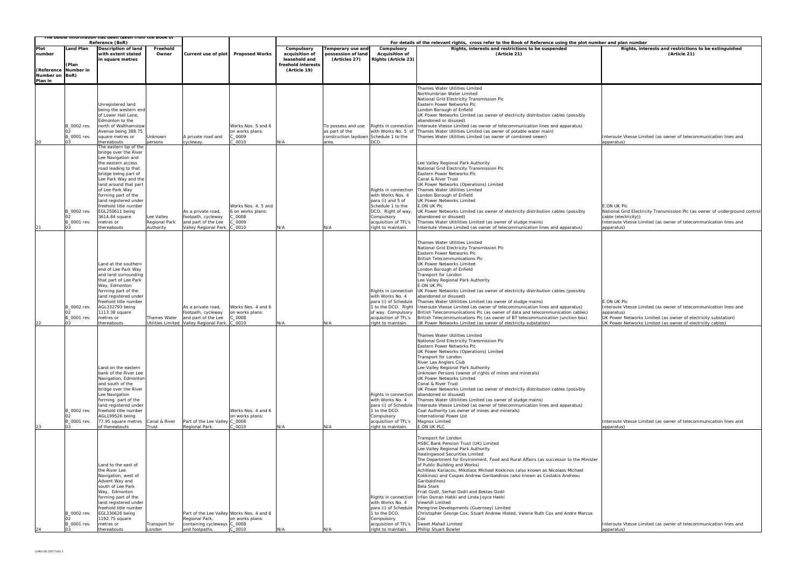|                           |                                              | <u>ne below information has been taken from the Book of</u><br>Reference (BoR)                                                                                                                                                                                                                                                                            |                                          |                                                                                                            |                                                                        |                                                                                     |                                                                                         |                                                                                                                                                                       |                                                                                                                                                                                                                                                                                                                                                                                                                                                                                                                                                                                                                                                                                                                                                                                              |                                                                                                                                                                                                                                |
|---------------------------|----------------------------------------------|-----------------------------------------------------------------------------------------------------------------------------------------------------------------------------------------------------------------------------------------------------------------------------------------------------------------------------------------------------------|------------------------------------------|------------------------------------------------------------------------------------------------------------|------------------------------------------------------------------------|-------------------------------------------------------------------------------------|-----------------------------------------------------------------------------------------|-----------------------------------------------------------------------------------------------------------------------------------------------------------------------|----------------------------------------------------------------------------------------------------------------------------------------------------------------------------------------------------------------------------------------------------------------------------------------------------------------------------------------------------------------------------------------------------------------------------------------------------------------------------------------------------------------------------------------------------------------------------------------------------------------------------------------------------------------------------------------------------------------------------------------------------------------------------------------------|--------------------------------------------------------------------------------------------------------------------------------------------------------------------------------------------------------------------------------|
| Plot<br>number            | Land Plan<br>Plan<br>(Reference Number in    | Description of land<br>with extent stated<br>in square metres                                                                                                                                                                                                                                                                                             | Freehold<br>Owner                        | Current use of plot                                                                                        | <b>Proposed Works</b>                                                  | Compulsory<br>acquisition of<br>leasehold and<br>freehold interests<br>(Article 19) | <b>Temporary use and</b><br>possession of land<br>(Articles 27)                         | Compulsory<br><b>Acquisition of</b><br>Rights (Article 23)                                                                                                            | For details of the relevant rights, cross refer to the Book of Reference using the plot number and plan number<br>Rights, interests and restrictions to be suspended<br>(Article 21)                                                                                                                                                                                                                                                                                                                                                                                                                                                                                                                                                                                                         | Rights, interests and restrictions to be extinguished<br>(Article 21)                                                                                                                                                          |
| Number on BoR)<br>Plan in |                                              |                                                                                                                                                                                                                                                                                                                                                           |                                          |                                                                                                            |                                                                        |                                                                                     |                                                                                         |                                                                                                                                                                       |                                                                                                                                                                                                                                                                                                                                                                                                                                                                                                                                                                                                                                                                                                                                                                                              |                                                                                                                                                                                                                                |
| 20                        | B_0002 rev.<br>B_0001 rev.<br>03             | Unregistered land<br>being the western end<br>of Lower Hall Lane,<br>Edmonton to the<br>north of Walthamstow<br>Avenue being 388.75<br>square metres or<br>thereabouts                                                                                                                                                                                    | Unknown<br>persons                       | A private road and<br>cycleway.                                                                            | Works Nos. 5 and 6<br>on works plans:<br>0009<br>0010                  | N/A                                                                                 | To possess and use<br>as part of the<br>construction laydown Schedule 1 to the<br>area. | Rights in connection<br>with Works No. 5 of<br>CO.                                                                                                                    | Thames Water Utilities Limited<br>Northumbrian Water Limited<br>National Grid Electricity Transmission Plc<br>Eastern Power Networks Plc<br>London Borough of Enfield<br>UK Power Networks Limited (as owner of electricity distribution cables (possibly<br>abandoned or disused)<br>Interoute Vtesse Limited (as owner of telecommunication lines and apparatus)<br>Thames Water Utilities Limited (as owner of potable water main)<br>Thames Water Utilities Limited (as owner of combined sewer)                                                                                                                                                                                                                                                                                         | Interoute Vtesse Limited (as owner of telecommunication lines and<br>apparatus)                                                                                                                                                |
| 21                        | B_0002 rev.<br>B_0001 rev.<br>0 <sup>3</sup> | The eastern tip of the<br>bridge over the River<br>Lee Navigation and<br>the eastern access<br>road leading to that<br>bridge being part of<br>Lee Park Way and the<br>land around that part<br>of Lee Park Way<br>forming part of the<br>land registered under<br>freehold title number<br>EGL250611 being<br>3614.84 square<br>metres or<br>thereabouts | Lee Valley<br>Regional Park<br>Authority | As a private road,<br>footpath, cycleway<br>and part of the Lee<br>Valley Regional Park.                   | Works Nos. 4, 5 and<br>6 on works plans:<br>$-0008$<br>$-0009$<br>0010 | N/A                                                                                 | N/A                                                                                     | Rights in connection<br>with Works Nos. 4<br>para (i) and 5 of<br>Schedule 1 to the<br>DCO. Right of way.<br>Compulsory<br>acquisition of TFL's<br>right to maintain. | Lee Valley Regional Park Authority<br>National Grid Electricity Transmission Plc<br>Eastern Power Networks Plc<br>Canal & River Trust<br>UK Power Networks (Operations) Limited<br>Thames Water Utilities Limited<br>London Borough of Enfield<br>UK Power Networks Limited<br>E.ON UK Plc<br>UK Power Networks Limited (as owner of electricity distribution cables (possibly<br>abandoned or disused)<br>Thames Water Ulitilities Limited (as owner of sludge mains)<br>Interoute Vtesse Limited (as owner of telecommunication lines and apparatus)                                                                                                                                                                                                                                       | E.ON UK Plc<br>National Grid Electricity Transmission Plc (as owner of underground<br>cable (electricity))<br>Interoute Vtesse Limited (as owner of telecommunication lines and<br>apparatus)                                  |
| 22                        | B_0002 rev.<br>02<br>B_0001 rev.             | Land at the southern<br>end of Lee Park Way<br>and land surrounding<br>that part of Lee Park<br>Way, Edmonton<br>forming part of the<br>land registered under<br>freehold title number<br>AGL332793 being<br>1113.38 square<br>metres or<br>thereabouts                                                                                                   | Thames Water                             | As a private road,<br>footpath, cycleway<br>and part of the Lee<br>Utilities Limited Valley Regional Park. | Works Nos. 4 and 6<br>on works plans:<br>0000<br>$-0010$               | N/A                                                                                 | N/A                                                                                     | Rights in connection<br>with Works No. 4<br>para (i) of Schedule<br>1 to the DCO. Right<br>of way. Compulsory<br>acquisition of TFL's<br>right to maintain.           | Thames Water Utilities Limited<br>National Grid Electricity Transmission Plc<br>Eastern Power Networks Plc<br><b>British Telecommunications Plc</b><br>UK Power Networks Limited<br>London Borough of Enfield<br>Transport for London<br>Lee Valley Regional Park Authority<br>E.ON UK Plc<br>UK Power Networks Limited (as owner of electricity distribution cables (possibly<br>abandoned or disused)<br>Thames Water Ulitilities Limited (as owner of sludge mains)<br>Interoute Vtesse Limited (as owner of telecommunication lines and apparatus)<br>British Telecommunications Plc (as owner of data and telecommunication cables)<br>British Telecommunications Plc (as owner of BT telecommunication junction box)<br>UK Power Networks Limited (as owner of electricity substation) | E.ON UK Plc<br>Interoute Vtesse Limited (as owner of telecommunication lines and<br>apparatus)<br>UK Power Networks Limited (as owner of electricity substation)<br>UK Power Networks Limited (as owner of electricity cables) |
| 23                        | B_0002 rev.<br>B_0001 rev.<br>O <sub>3</sub> | Land on the eastern<br>bank of the River Lee<br>Navigation, Edmonton<br>and south of the<br>bridge over the River<br>Lee Navigation<br>forming part of the<br>land registered under<br>freehold title number<br>AGL199526 being<br>77.95 square metres Canal & River<br>of thereabouts                                                                    | Trust                                    | Part of the Lee Valley C_0008<br>Regional Park.                                                            | Works Nos. 4 and 6<br>on works plans:<br>0010                          | N/A                                                                                 | N/A                                                                                     | Rights in connection<br>with Works No. 4<br>para (i) of Schedule<br>1 to the DCO.<br>Compulsory<br>acquisition of TFL's<br>right to maintain.                         | Thames Water Utilities Limited<br>National Grid Electricity Transmission Plc<br>Eastern Power Networks Plc<br>UK Power Networks (Operations) Limited<br>Transport for London<br>River Lea Anglers Club<br>Lee Valley Regional Park Authority<br>Unknown Persons (owner of rights of mines and minerals)<br>UK Power Networks Limited<br>Canal & River Trust<br>UK Power Networks Limited (as owner of electricity distribution cables (possibly<br>abandoned or disused)<br>Thames Water Ulitilities Limited (as owner of sludge mains)<br>Interoute Vtesse Limited (as owner of telecommunication lines and apparatus)<br>Coal Authority (as owner of mines and minerals)<br>International Power Ltd<br>Magnox Limited<br>E.ON UK PLC                                                       | Interoute Vtesse Limited (as owner of telecommunication lines and<br>apparatus)                                                                                                                                                |
| 24                        | B_0002 rev.<br>B_0001 rev.                   | Land to the east of<br>the River Lee<br>Navigation, west of<br>Advent Way and<br>south of Lee Park<br>Way, Edmonton<br>forming part of the<br>land registered under<br>freehold title number<br>EGL330626 being<br>1192.75 square<br>metres or<br>thereabouts                                                                                             | Transport for<br>London                  | Regional Park,<br>containing cycleways C_0008<br>and footpaths.                                            | Part of the Lee Valley Works Nos. 4 and 6<br>on works plans:<br>C 0010 | N/A                                                                                 | N/A                                                                                     | Rights in connection<br>with Works No. 4<br>para (i) of Schedule<br>1 to the DCO.<br>Compulsory<br>acquisition of TFL's<br>right to maintain.                         | Transport for London<br>HSBC Bank Pension Trust (UK) Limited<br>Lee Valley Regional Park Authority<br>Hastingwood Securities Limited<br>The Department for Environment, Food and Rural Affairs (as successor to the Minister<br>of Public Building and Works)<br>Achilleas Kariacou, Mikolaos Michael Kokkinos (also known as Nicolaos Michael<br>Kokkinos) and Cospas Andrew Garibaldinos (also known as Costakis Andreou<br>Garibaldinos)<br>Bela Stark<br>Friat Ozdil, Serhat Ozdil and Bektas Ozdil<br>Irfan Osman Hakki and Linda Joyce Hakki<br>Viewhill Limited<br>Peregrine Developments (Guernsey) Limited<br>Christopher George Cox, Stuart Andrew Histed, Valerie Ruth Cox and Andre Marcus<br>Cox<br>Sweet Mahall Limited<br>Phillip Stuart Bowler                               | Interoute Vtesse Limited (as owner of telecommunication lines and<br>apparatus)                                                                                                                                                |

| er and plan number                                                              |
|---------------------------------------------------------------------------------|
| Rights, interests and restrictions to be extinguished                           |
| (Article 21)                                                                    |
|                                                                                 |
|                                                                                 |
|                                                                                 |
|                                                                                 |
|                                                                                 |
|                                                                                 |
|                                                                                 |
|                                                                                 |
|                                                                                 |
|                                                                                 |
|                                                                                 |
|                                                                                 |
| Interoute Vtesse Limited (as owner of telecommunication lines and               |
| apparatus)                                                                      |
|                                                                                 |
|                                                                                 |
|                                                                                 |
|                                                                                 |
|                                                                                 |
|                                                                                 |
|                                                                                 |
|                                                                                 |
|                                                                                 |
| E.ON UK Plc                                                                     |
| National Grid Electricity Transmission Plc (as owner of underground control     |
| cable (electricity))                                                            |
| Interoute Vtesse Limited (as owner of telecommunication lines and               |
| apparatus)                                                                      |
|                                                                                 |
|                                                                                 |
|                                                                                 |
|                                                                                 |
|                                                                                 |
|                                                                                 |
|                                                                                 |
|                                                                                 |
|                                                                                 |
|                                                                                 |
|                                                                                 |
| E.ON UK Plc                                                                     |
| Interoute Vtesse Limited (as owner of telecommunication lines and<br>apparatus) |
| UK Power Networks Limited (as owner of electricity substation)                  |
| UK Power Networks Limited (as owner of electricity cables)                      |
|                                                                                 |
|                                                                                 |
|                                                                                 |
|                                                                                 |
|                                                                                 |
|                                                                                 |
|                                                                                 |
|                                                                                 |
|                                                                                 |
|                                                                                 |
|                                                                                 |
|                                                                                 |
|                                                                                 |
|                                                                                 |
|                                                                                 |
| Interoute Vtesse Limited (as owner of telecommunication lines and               |
| apparatus)                                                                      |
|                                                                                 |
|                                                                                 |
|                                                                                 |
|                                                                                 |
|                                                                                 |
|                                                                                 |
|                                                                                 |
|                                                                                 |
|                                                                                 |
|                                                                                 |
|                                                                                 |
|                                                                                 |
|                                                                                 |
|                                                                                 |
|                                                                                 |
| Interoute Vtesse Limited (as owner of telecommunication lines and               |
| apparatus)                                                                      |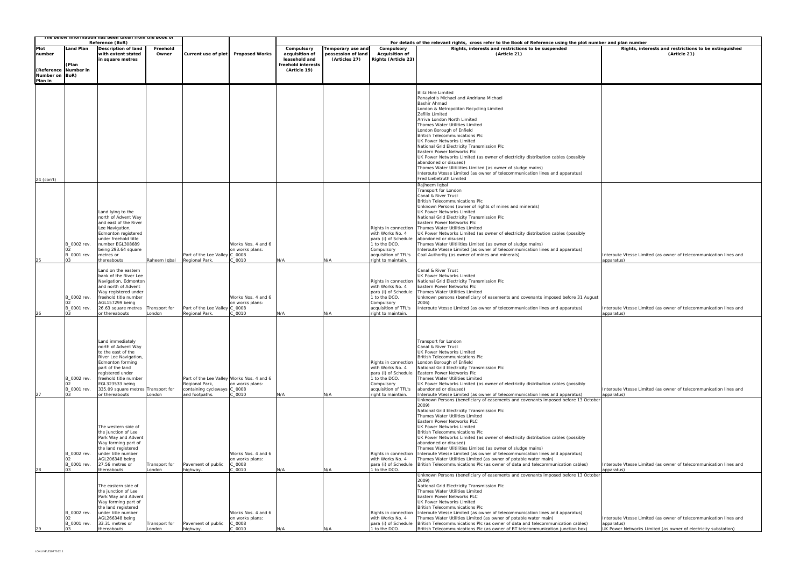|                                         |                                  | The below information has been taken from the Book of<br>Reference (BoR)                                                                                                                                                                                                      |                         |                                                                                                       |                                                                 | For details of the relevant rights, cross refer to the Book of Reference using the plot number and plan number |                                                                 |                                                                                                                                               |                                                                                                                                                                                                                                                                                                                                                                                                                                                                                                                                                                                                                                                                                                    |                                                                                                                                                   |  |  |  |
|-----------------------------------------|----------------------------------|-------------------------------------------------------------------------------------------------------------------------------------------------------------------------------------------------------------------------------------------------------------------------------|-------------------------|-------------------------------------------------------------------------------------------------------|-----------------------------------------------------------------|----------------------------------------------------------------------------------------------------------------|-----------------------------------------------------------------|-----------------------------------------------------------------------------------------------------------------------------------------------|----------------------------------------------------------------------------------------------------------------------------------------------------------------------------------------------------------------------------------------------------------------------------------------------------------------------------------------------------------------------------------------------------------------------------------------------------------------------------------------------------------------------------------------------------------------------------------------------------------------------------------------------------------------------------------------------------|---------------------------------------------------------------------------------------------------------------------------------------------------|--|--|--|
| Plot<br>number                          | Land Plan                        | <b>Description of land</b><br>with extent stated<br>in square metres                                                                                                                                                                                                          | Freehold<br>Owner       | Current use of plot                                                                                   | <b>Proposed Works</b>                                           | Compulsory<br>acquisition of<br>leasehold and                                                                  | <b>Temporary use and</b><br>possession of land<br>(Articles 27) | Compulsory<br><b>Acquisition of</b><br><b>Rights (Article 23)</b>                                                                             | Rights, interests and restrictions to be suspended<br>(Article 21)                                                                                                                                                                                                                                                                                                                                                                                                                                                                                                                                                                                                                                 | Rights, interests and restrictions to be extinguished<br>(Article 21)                                                                             |  |  |  |
| (Reference<br>Number on BoR)<br>Plan in | (Plan<br><b>Number in</b>        |                                                                                                                                                                                                                                                                               |                         |                                                                                                       |                                                                 | freehold interests<br>(Article 19)                                                                             |                                                                 |                                                                                                                                               |                                                                                                                                                                                                                                                                                                                                                                                                                                                                                                                                                                                                                                                                                                    |                                                                                                                                                   |  |  |  |
| 24 (con't)                              |                                  |                                                                                                                                                                                                                                                                               |                         |                                                                                                       |                                                                 |                                                                                                                |                                                                 |                                                                                                                                               | <b>Blitz Hire Limited</b><br>Panayiotis Michael and Andriana Michael<br>Bashir Ahmad<br>London & Metropolitan Recycling Limited<br>Zefilix Limited<br>Arriva London North Limited<br>Thames Water Utilities Limited<br>London Borough of Enfield<br><b>British Telecommunications Plc</b><br>UK Power Networks Limited<br>National Grid Electricity Transmission Plc<br>Eastern Power Networks Plc<br>UK Power Networks Limited (as owner of electricity distribution cables (possibly<br>abandoned or disused)<br>Thames Water Ulitilities Limited (as owner of sludge mains)<br>Interoute Vtesse Limited (as owner of telecommunication lines and apparatus)<br>Fred Liebetruth Limited          |                                                                                                                                                   |  |  |  |
| 25                                      | B_0002 rev.<br>B 0001 rev.<br>03 | Land lying to the<br>north of Advent Way<br>and east of the River<br>Lee Navigation,<br>Edmonton registered<br>under freehold title<br>number EGL308689<br>being 293.64 square<br>metres or<br>thereabouts                                                                    | Raheem Iqbal            | Part of the Lee Valley<br>Regional Park.                                                              | Works Nos. 4 and 6<br>on works plans:<br>C 0008<br>0010         | N/A                                                                                                            | N/A                                                             | Rights in connection<br>with Works No. 4<br>para (i) of Schedule<br>1 to the DCO.<br>Compulsory<br>acquisition of TFL's<br>right to maintain. | Rajheem Iqbal<br>Transport for London<br>Canal & River Trust<br><b>British Telecommunications Plc</b><br>Unknown Persons (owner of rights of mines and minerals)<br>UK Power Networks Limited<br>National Grid Electricity Transmission Plc<br>Eastern Power Networks Plc<br>Thames Water Utilities Limited<br>UK Power Networks Limited (as owner of electricity distribution cables (possibly<br>abandoned or disused)<br>Thames Water Ulitilities Limited (as owner of sludge mains)<br>Interoute Vtesse Limited (as owner of telecommunication lines and apparatus)<br>Coal Authority (as owner of mines and minerals)                                                                         | Interoute Vtesse Limited (as owner of telecommunication lines and<br>apparatus)                                                                   |  |  |  |
| 26                                      | B_0002 rev.<br>B_0001 rev.       | Land on the eastern<br>bank of the River Lee<br>Navigation, Edmonton<br>and north of Advent<br>Way registered under<br>freehold title number<br>AGL157299 being<br>26.63 square metres<br>or thereabouts                                                                      | Transport for<br>London | Part of the Lee Valley<br>Regional Park.                                                              | Works Nos. 4 and 6<br>on works plans:<br>C_0008<br>C 0010       | N/A                                                                                                            | N/A                                                             | Rights in connection<br>with Works No. 4<br>para (i) of Schedule<br>1 to the DCO.<br>Compulsory<br>acquisition of TFL's<br>right to maintain. | Canal & River Trust<br>UK Power Networks Limited<br>National Grid Electricity Transmission Plc<br>Eastern Power Networks Plc<br>Thames Water Utilities Limited<br>Unknown persons (beneficiary of easements and covenants imposed before 31 August<br>2006)<br>Interoute Vtesse Limited (as owner of telecommunication lines and apparatus)                                                                                                                                                                                                                                                                                                                                                        | Interoute Vtesse Limited (as owner of telecommunication lines and<br>apparatus)                                                                   |  |  |  |
| 27                                      | B_0002 rev.<br>B_0001 rev.       | Land immediately<br>north of Advent Way<br>to the east of the<br>River Lee Navigation,<br>Edmonton forming<br>part of the land<br>registered under<br>freehold title number<br>EGL323533 being<br>335.09 square metres Transport for<br>or thereabouts<br>The western side of | London                  | Part of the Lee Valley Works Nos. 4 and 6<br>Regional Park,<br>containing cycleways<br>and footpaths. | on works plans:<br>C_0008<br>C 0010                             | N/A                                                                                                            | N/A                                                             | Rights in connection<br>with Works No. 4<br>para (i) of Schedule<br>1 to the DCO.<br>Compulsory<br>acquisition of TFL's<br>right to maintain. | Transport for London<br>Canal & River Trust<br>UK Power Networks Limited<br><b>British Telecommunications Plc</b><br>London Borough of Enfield<br>National Grid Electricity Transmission Plc<br>Eastern Power Networks Plc<br>Thames Water Utilities Limited<br>UK Power Networks Limited (as owner of electricity distribution cables (possibly<br>abandoned or disused)<br>Interoute Vtesse Limited (as owner of telecommunication lines and apparatus)<br>Unknown Persons (beneficiary of easements and covenants imposed before 13 October<br>2009)<br>National Grid Electricity Transmission Plc<br>Thames Water Utilities Limited<br>Eastern Power Networks PLC<br>UK Power Networks Limited | Interoute Vtesse Limited (as owner of telecommunication lines and<br>apparatus)                                                                   |  |  |  |
| 28                                      | B_0002 rev.<br>B_0001 rev.<br>03 | the junction of Lee<br>Park Way and Advent<br>Way forming part of<br>the land registered<br>under title number<br>AGL206348 being<br>27.56 metres or<br>thereabouts                                                                                                           | Transport for<br>London | Pavement of public<br>highway.                                                                        | Works Nos. 4 and 6<br>on works plans:<br>20008<br>0010          | N/A                                                                                                            | N/A                                                             | Rights in connection<br>with Works No. 4<br>para (i) of Schedule<br>1 to the DCO.                                                             | <b>British Telecommunications Plc</b><br>UK Power Networks Limited (as owner of electricity distribution cables (possibly<br>abandoned or disused)<br>Thames Water Ulitilities Limited (as owner of sludge mains)<br>Interoute Vtesse Limited (as owner of telecommunication lines and apparatus)<br>Thames Water Utilities Limited (as owner of potable water main)<br>British Telecommunications Plc (as owner of data and telecommunication cables)                                                                                                                                                                                                                                             | Interoute Vtesse Limited (as owner of telecommunication lines and<br>apparatus)                                                                   |  |  |  |
| 29                                      | B_0002 rev.<br>B_0001 rev.       | The eastern side of<br>the junction of Lee<br>Park Way and Advent<br>Way forming part of<br>the land registered<br>under title number<br>AGL266348 being<br>33.31 metres or<br>thereabouts                                                                                    | Transport for<br>London | Pavement of public<br>highway.                                                                        | Works Nos. 4 and 6<br>on works plans:<br>$C_0008$<br>$C_0$ 0010 | N/A                                                                                                            | N/A                                                             | Rights in connection<br>with Works No. 4<br>para (i) of Schedule<br>1 to the DCO.                                                             | Unknown Persons (beneficiary of easements and covenants imposed before 13 October<br>2009)<br>National Grid Electricity Transmission Plc<br>Thames Water Utilities Limited<br>Eastern Power Networks PLC<br>UK Power Networks Limited<br><b>British Telecommunications Plc</b><br>Interoute Vtesse Limited (as owner of telecommunication lines and apparatus)<br>Thames Water Utilities Limited (as owner of potable water main)<br>British Telecommunications Plc (as owner of data and telecommunication cables)<br>British Telecommunications Plc (as owner of BT telecommunication junction box)                                                                                              | Interoute Vtesse Limited (as owner of telecommunication lines and<br>apparatus)<br>UK Power Networks Limited (as owner of electricity substation) |  |  |  |

| er and plan number                                                |
|-------------------------------------------------------------------|
| Rights, interests and restrictions to be extinguished             |
| (Article 21)                                                      |
|                                                                   |
|                                                                   |
|                                                                   |
|                                                                   |
|                                                                   |
|                                                                   |
|                                                                   |
|                                                                   |
|                                                                   |
|                                                                   |
|                                                                   |
|                                                                   |
|                                                                   |
|                                                                   |
|                                                                   |
|                                                                   |
|                                                                   |
|                                                                   |
|                                                                   |
|                                                                   |
|                                                                   |
|                                                                   |
|                                                                   |
|                                                                   |
|                                                                   |
|                                                                   |
|                                                                   |
|                                                                   |
|                                                                   |
|                                                                   |
|                                                                   |
|                                                                   |
|                                                                   |
|                                                                   |
| Interoute Vtesse Limited (as owner of telecommunication lines and |
| apparatus)                                                        |
|                                                                   |
|                                                                   |
|                                                                   |
|                                                                   |
|                                                                   |
|                                                                   |
|                                                                   |
| Interoute Vtesse Limited (as owner of telecommunication lines and |
| apparatus)                                                        |
|                                                                   |
|                                                                   |
|                                                                   |
|                                                                   |
|                                                                   |
|                                                                   |
|                                                                   |
|                                                                   |
|                                                                   |
|                                                                   |
|                                                                   |
|                                                                   |
| Interoute Vtesse Limited (as owner of telecommunication lines and |
| apparatus)                                                        |
|                                                                   |
|                                                                   |
|                                                                   |
|                                                                   |
|                                                                   |
|                                                                   |
|                                                                   |
|                                                                   |
|                                                                   |
|                                                                   |
|                                                                   |
| Interoute Vtesse Limited (as owner of telecommunication lines and |
| apparatus)                                                        |
|                                                                   |
|                                                                   |
|                                                                   |
|                                                                   |
|                                                                   |
|                                                                   |
|                                                                   |
| Interoute Vtesse Limited (as owner of telecommunication lines and |
| apparatus)                                                        |
| UK Power Networks Limited (as owner of electricity substation)    |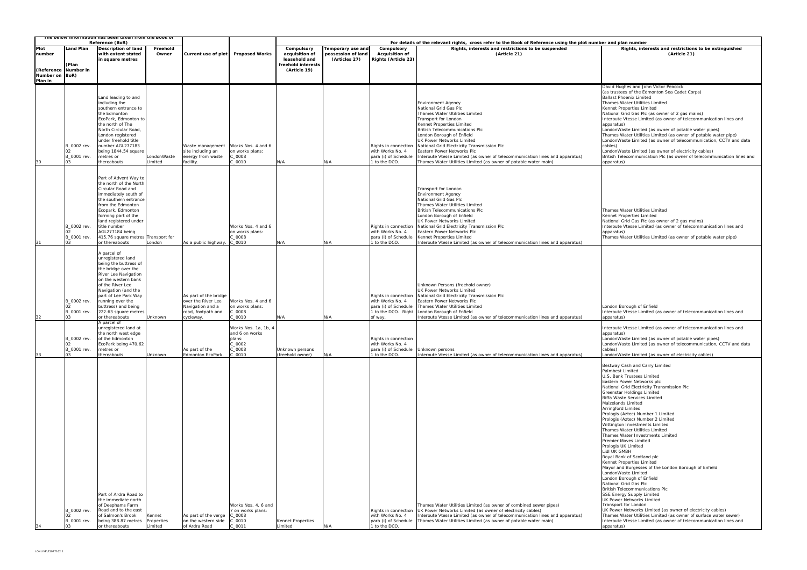| ne below information has been taken from the book of |                                                                      |                                                                                                                                                                                                                                                                                                                                                                                                                              |                                 |                                                                                                                                           |                                                                                                                                         |                                            |                                                |                                                                                                                                                                                         |                                                                                                                                                                                                                                                                                                                                                                                                   |                                                                                                                                                                                                                                                                                                                                                                                                                                                                                                                                                                                                                                                                                                                                                                                                                                                                                                                                                                                                                                                                   |  |  |  |
|------------------------------------------------------|----------------------------------------------------------------------|------------------------------------------------------------------------------------------------------------------------------------------------------------------------------------------------------------------------------------------------------------------------------------------------------------------------------------------------------------------------------------------------------------------------------|---------------------------------|-------------------------------------------------------------------------------------------------------------------------------------------|-----------------------------------------------------------------------------------------------------------------------------------------|--------------------------------------------|------------------------------------------------|-----------------------------------------------------------------------------------------------------------------------------------------------------------------------------------------|---------------------------------------------------------------------------------------------------------------------------------------------------------------------------------------------------------------------------------------------------------------------------------------------------------------------------------------------------------------------------------------------------|-------------------------------------------------------------------------------------------------------------------------------------------------------------------------------------------------------------------------------------------------------------------------------------------------------------------------------------------------------------------------------------------------------------------------------------------------------------------------------------------------------------------------------------------------------------------------------------------------------------------------------------------------------------------------------------------------------------------------------------------------------------------------------------------------------------------------------------------------------------------------------------------------------------------------------------------------------------------------------------------------------------------------------------------------------------------|--|--|--|
|                                                      |                                                                      | Reference (BoR)                                                                                                                                                                                                                                                                                                                                                                                                              |                                 |                                                                                                                                           |                                                                                                                                         |                                            |                                                |                                                                                                                                                                                         | For details of the relevant rights, cross refer to the Book of Reference using the plot number and plan number                                                                                                                                                                                                                                                                                    |                                                                                                                                                                                                                                                                                                                                                                                                                                                                                                                                                                                                                                                                                                                                                                                                                                                                                                                                                                                                                                                                   |  |  |  |
| Plot<br>number                                       | and Plan                                                             | Description of land<br>with extent stated                                                                                                                                                                                                                                                                                                                                                                                    | Freehold<br>Owner               | Current use of plot                                                                                                                       | <b>Proposed Works</b>                                                                                                                   | Compulsory<br>acquisition of               | <b>Temporary use and</b><br>possession of land | Compulsory<br><b>Acquisition of</b>                                                                                                                                                     | Rights, interests and restrictions to be suspended<br>(Article 21)                                                                                                                                                                                                                                                                                                                                | Rights, interests and restrictions to be extinguished<br>(Article 21)                                                                                                                                                                                                                                                                                                                                                                                                                                                                                                                                                                                                                                                                                                                                                                                                                                                                                                                                                                                             |  |  |  |
|                                                      | (Plan                                                                | in square metres                                                                                                                                                                                                                                                                                                                                                                                                             |                                 |                                                                                                                                           |                                                                                                                                         | leasehold and<br>freehold interests        | (Articles 27)                                  | <b>Rights (Article 23)</b>                                                                                                                                                              |                                                                                                                                                                                                                                                                                                                                                                                                   |                                                                                                                                                                                                                                                                                                                                                                                                                                                                                                                                                                                                                                                                                                                                                                                                                                                                                                                                                                                                                                                                   |  |  |  |
| (Reference Number in<br>Number on BoR)<br>Plan in    |                                                                      |                                                                                                                                                                                                                                                                                                                                                                                                                              |                                 |                                                                                                                                           |                                                                                                                                         | (Article 19)                               |                                                |                                                                                                                                                                                         |                                                                                                                                                                                                                                                                                                                                                                                                   |                                                                                                                                                                                                                                                                                                                                                                                                                                                                                                                                                                                                                                                                                                                                                                                                                                                                                                                                                                                                                                                                   |  |  |  |
|                                                      | 3_0002 rev.                                                          | Land leading to and<br>including the<br>southern entrance to<br>he Edmonton:<br>EcoPark, Edmonton to<br>the north of The<br>North Circular Road<br>London registered<br>under freehold title<br>number AGL277183<br>being 1844.54 square                                                                                                                                                                                     |                                 | Waste management Works Nos. 4 and 6<br>site including an                                                                                  | on works plans:                                                                                                                         |                                            |                                                | Rights in connection<br>with Works No. 4                                                                                                                                                | <b>Environment Agency</b><br>National Grid Gas Plc<br>Thames Water Utilities Limited<br>Transport for London<br>Kennet Properties Limited<br>British Telecommunications Plc<br>London Borough of Enfield<br>UK Power Networks Limited<br>National Grid Electricity Transmission Plc<br>Eastern Power Networks Plc                                                                                 | David Hughes and John Victor Peacock<br>(as trustees of the Edmonton Sea Cadet Corps)<br><b>Ballast Phoenix Limited</b><br>Thames Water Utilities Limited<br>Kennet Properties Limited<br>National Grid Gas Plc (as owner of 2 gas mains)<br>Interoute Vtesse Limited (as owner of telecommunication lines and<br>apparatus)<br>LondonWaste Limited (as owner of potable water pipes)<br>Thames Water Utilities Limited (as owner of potable water pipe)<br>LondonWaste Limited (as owner of telecommunication, CCTV and data<br>cables)<br>LondonWaste Limited (as owner of electricity cables)                                                                                                                                                                                                                                                                                                                                                                                                                                                                  |  |  |  |
| 30                                                   | B_0001 rev.<br>03                                                    | metres or<br>thereabouts                                                                                                                                                                                                                                                                                                                                                                                                     | LondonWaste<br>Limited          | energy from waste<br>facility.                                                                                                            | 000<br>0010                                                                                                                             | N/A                                        | N/A                                            | para (i) of Schedule<br>1 to the DCO.                                                                                                                                                   | Interoute Vtesse Limited (as owner of telecommunication lines and apparatus)<br>Thames Water Utilities Limited (as owner of potable water main)                                                                                                                                                                                                                                                   | British Telecommunication Plc (as owner of telecommunication lines and<br>apparatus)                                                                                                                                                                                                                                                                                                                                                                                                                                                                                                                                                                                                                                                                                                                                                                                                                                                                                                                                                                              |  |  |  |
| 31                                                   | 3_0002 rev.<br>B_0001 rev.<br>03                                     | Part of Advent Way to<br>the north of the North<br>Circular Road and<br>immediately south of<br>the southern entrance<br>from the Edmonton<br>Ecopark, Edmonton<br>forming part of the<br>land registered under<br>title number<br>AGL277184 being<br>415.76 square metres Transport for<br>or thereabouts                                                                                                                   | London                          | As a public highway.                                                                                                                      | Works Nos. 4 and 6<br>on works plans:<br>$C_0$ 0008<br>C 0010                                                                           | N/A                                        | N/A                                            | Rights in connection<br>with Works No. 4<br>para (i) of Schedule<br>1 to the DCO.                                                                                                       | Transport for London<br><b>Environment Agency</b><br>National Grid Gas Plc<br>Thames Water Utilities Limited<br>British Telecommunications Plc<br>London Borough of Enfield<br>UK Power Networks Limited<br>National Grid Electricity Transmission Plc<br>Eastern Power Networks Plc<br>Kennet Properties Limited<br>Interoute Vtesse Limited (as owner of telecommunication lines and apparatus) | Thames Water Utilities Limited<br>Kennet Properties Limited<br>National Grid Gas Plc (as owner of 2 gas mains)<br>Interoute Vtesse Limited (as owner of telecommunication lines and<br>apparatus)<br>Thames Water Utilities Limited (as owner of potable water pipe)                                                                                                                                                                                                                                                                                                                                                                                                                                                                                                                                                                                                                                                                                                                                                                                              |  |  |  |
| 32<br>33                                             | 3_0002 rev.<br>B_0001 rev.<br>03<br>B_0002 rev.<br>B_0001 rev.<br>03 | A parcel of<br>unregistered land<br>being the buttress of<br>the bridge over the<br>River Lee Navigation<br>on the western bank<br>of the River Lee<br>Navigation (and the<br>part of Lee Park Way<br>running over the<br>buttress) and being<br>222.63 square metres<br>or thereabouts<br>A parcel of<br>unregistered land at<br>the north west edge<br>of the Edmonton<br>EcoPark being 470.62<br>metres or<br>thereabouts | Unknown<br>Unknown              | As part of the bridge<br>over the River Lee<br>Navigation and a<br>road, footpath and<br>cycleway.<br>As part of the<br>Edmonton EcoPark. | Works Nos. 4 and 6<br>on works plans:<br>$_00008$<br>0010<br>Works Nos. 1a, 1b, 4<br>and 6 on works<br>plans:<br>20002<br>0000<br>20010 | N/A<br>Unknown persons<br>(freehold owner) | N/A<br>N/A                                     | Rights in connection<br>with Works No. 4<br>para (i) of Schedule<br>1 to the DCO. Right<br>of way.<br>Rights in connection<br>with Works No. 4<br>para (i) of Schedule<br>1 to the DCO. | Unknown Persons (freehold owner)<br>UK Power Networks Limited<br>National Grid Electricity Transmission Plc<br>Eastern Power Networks Plc<br>Thames Water Utilities Limited<br>London Borough of Enfield<br>Interoute Vtesse Limited (as owner of telecommunication lines and apparatus)<br>Unknown persons<br>Interoute Vtesse Limited (as owner of telecommunication lines and apparatus)       | London Borough of Enfield<br>Interoute Vtesse Limited (as owner of telecommunication lines and<br>apparatus)<br>Interoute Vtesse Limited (as owner of telecommunication lines and<br>apparatus)<br>LondonWaste Limited (as owner of potable water pipes)<br>LondonWaste Limited (as owner of telecommunication, CCTV and data<br>cables)<br>LondonWaste Limited (as owner of electricity cables)                                                                                                                                                                                                                                                                                                                                                                                                                                                                                                                                                                                                                                                                  |  |  |  |
| 34                                                   | 3_0002 rev.<br>B_0001 rev.                                           | Part of Ardra Road to<br>the immediate north<br>of Deephams Farm<br>Road and to the east<br>of Salmon's Brook<br>being 388.87 metres<br>or thereabouts                                                                                                                                                                                                                                                                       | Kennet<br>Properties<br>Limited | As part of the verge<br>on the western side<br>of Ardra Road                                                                              | Works Nos. 4, 6 and<br>7 on works plans:<br>$2\ \,0008$<br>$C_0$ 0010<br>C_0011                                                         | Kennet Properties<br>Limited               | N/A                                            | Rights in connection<br>with Works No. 4<br>para (i) of Schedule<br>1 to the DCO.                                                                                                       | Thames Water Utilities Limited (as owner of combined sewer pipes)<br>UK Power Networks Limited (as owner of electricity cables)<br>Interoute Vtesse Limited (as owner of telecommunication lines and apparatus)<br>Thames Water Utilities Limited (as owner of potable water main)                                                                                                                | Bestway Cash and Carry Limited<br>Palmbest Limited<br>U.S. Bank Trustees Limited<br>Eastern Power Networks plc<br>National Grid Electricity Transmission Plc<br>Greenstar Holdings Limited<br>Biffa Waste Services Limited<br>Maizelands Limited<br>Arringford Limited<br>Prologis (Aztec) Number 1 Limited<br>Prologis (Aztec) Number 2 Limited<br>Wittington Investments Limited<br>Thames Water Utilities Limited<br>Thames Water Investments Limited<br>Premier Moves Limited<br>Prologis UK Limited<br>Lidl UK GMBH<br>Royal Bank of Scotland plc<br>Kennet Properties Limited<br>Mayor and Burgesses of the London Borough of Enfield<br>LondonWaste Limited<br>London Borough of Enfield<br>National Grid Gas Plc<br>British Telecommunications Plc<br>SSE Energy Supply Limited<br>UK Power Networks Limited<br>Transport for London<br>UK Power Networks Limited (as owner of electricity cables)<br>Thames Water Utilities Limited (as owner of surface water sewer)<br>Interoute Vtesse Limited (as owner of telecommunication lines and<br>apparatus) |  |  |  |